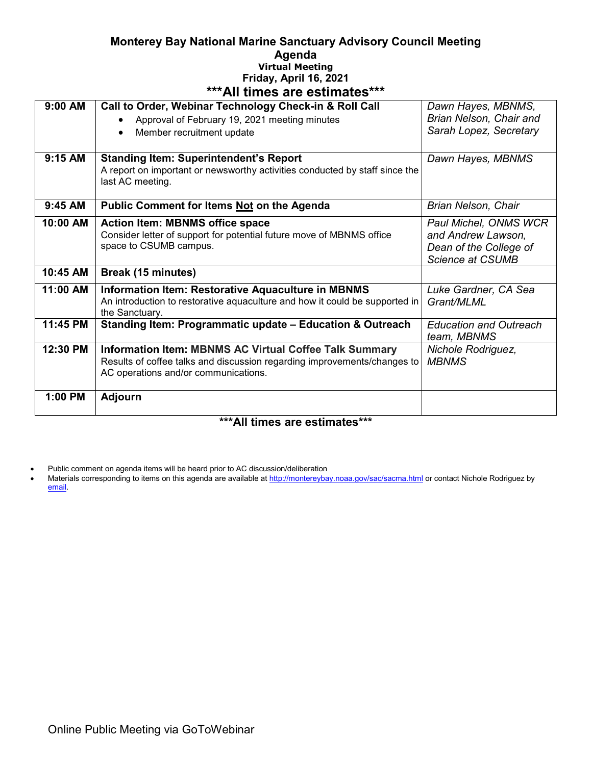## **Monterey Bay National Marine Sanctuary Advisory Council Meeting Agenda Virtual Meeting Friday, April 16, 2021 \*\*\*All times are estimates\*\*\***

| II GIIDO GIO COGINALCO                  |                                                                             |                                              |
|-----------------------------------------|-----------------------------------------------------------------------------|----------------------------------------------|
| 9:00 AM                                 | Call to Order, Webinar Technology Check-in & Roll Call                      | Dawn Hayes, MBNMS,                           |
|                                         | Approval of February 19, 2021 meeting minutes                               | Brian Nelson, Chair and                      |
|                                         | Member recruitment update<br>$\bullet$                                      | Sarah Lopez, Secretary                       |
|                                         |                                                                             |                                              |
| 9:15 AM                                 | <b>Standing Item: Superintendent's Report</b>                               | Dawn Hayes, MBNMS                            |
|                                         | A report on important or newsworthy activities conducted by staff since the |                                              |
|                                         | last AC meeting.                                                            |                                              |
|                                         |                                                                             |                                              |
| 9:45 AM                                 | Public Comment for Items Not on the Agenda                                  | Brian Nelson, Chair                          |
| 10:00 AM                                | <b>Action Item: MBNMS office space</b>                                      | Paul Michel, ONMS WCR                        |
|                                         | Consider letter of support for potential future move of MBNMS office        | and Andrew Lawson,                           |
|                                         | space to CSUMB campus.                                                      | Dean of the College of                       |
|                                         |                                                                             | <b>Science at CSUMB</b>                      |
| 10:45 AM                                | Break (15 minutes)                                                          |                                              |
| 11:00 AM                                | <b>Information Item: Restorative Aquaculture in MBNMS</b>                   | Luke Gardner, CA Sea                         |
|                                         | An introduction to restorative aquaculture and how it could be supported in | Grant/MLML                                   |
|                                         | the Sanctuary.                                                              |                                              |
| 11:45 PM                                | Standing Item: Programmatic update - Education & Outreach                   | <b>Education and Outreach</b><br>team, MBNMS |
| 12:30 PM                                | <b>Information Item: MBNMS AC Virtual Coffee Talk Summary</b>               | Nichole Rodriguez,                           |
|                                         | Results of coffee talks and discussion regarding improvements/changes to    | <b>MBNMS</b>                                 |
|                                         | AC operations and/or communications.                                        |                                              |
| 1:00 PM                                 | <b>Adjourn</b>                                                              |                                              |
|                                         |                                                                             |                                              |
| *** A II 15.<br>$4.5 - 1.4 - 1.4 + 1.4$ |                                                                             |                                              |

## **\*\*\*All times are estimates\*\*\***

• Public comment on agenda items will be heard prior to AC discussion/deliberation

• Materials corresponding to items on this agenda are available a[t http://montereybay.noaa.gov/sac/sacma.html](http://montereybay.noaa.gov/sac/sacma.html) or contact Nichole Rodriguez by [email.](mailto:dawn.hayes@noaa.gov)